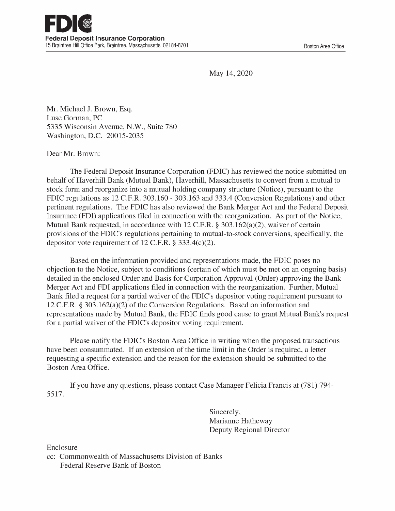May 14, 2020

Mr. Michael J. Brown, Esq. Luse Gorman, PC 5335 Wisconsin Avenue, N.W., Suite 780 Washington, D.C. 20015-2035

## Dear Mr. Brown:

The Federal Deposit Insurance Corporation (FDIC) has reviewed the notice submitted on behalf of Haverhill Bank (Mutual Bank), Haverhill, Massachusetts to convert from a mutual to stock form and reorganize into a mutual holding company structure (Notice), pursuant to the FDIC regulations as 12 C.F.R. 303.160 - 303.163 and 333.4 (Conversion Regulations) and other pertinent regulations. The FDIC has also reviewed the Bank Merger Act and the Federal Deposit Insurance (FDI) applications filed in connection with the reorganization. As part of the Notice, Mutual Bank requested, in accordance with 12 C.F.R. § 303.162(a)(2), waiver of certain provisions of the FDIC's regulations pertaining to mutual -to -stock conversions, specifically, the depositor vote requirement of 12 C.F.R. § 333.4(c)(2).

Based on the information provided and representations made, the FDIC poses no objection to the Notice, subject to conditions (certain of which must be met on an ongoing basis) detailed in the enclosed Order and Basis for Corporation Approval (Order) approving the Bank Merger Act and FDI applications filed in connection with the reorganization. Further, Mutual Bank filed a request for a partial waiver of the FDIC's depositor voting requirement pursuant to 12 C.F.R. § 303.162(a)(2) of the Conversion Regulations. Based on information and representations made by Mutual Bank, the FDIC finds good cause to grant Mutual Bank's request for a partial waiver of the FDIC's depositor voting requirement.

Please notify the FDIC's Boston Area Office in writing when the proposed transactions have been consummated. If an extension of the time limit in the Order is required, a letter requesting a specific extension and the reason for the extension should be submitted to the Boston Area Office.

5517. If you have any questions, please contact Case Manager Felicia Francis at (781) 794 -

> Sincerely, Marianne Hatheway Deputy Regional Director

Enclosure

cc: Commonwealth of Massachusetts Division of Banks Federal Reserve Bank of Boston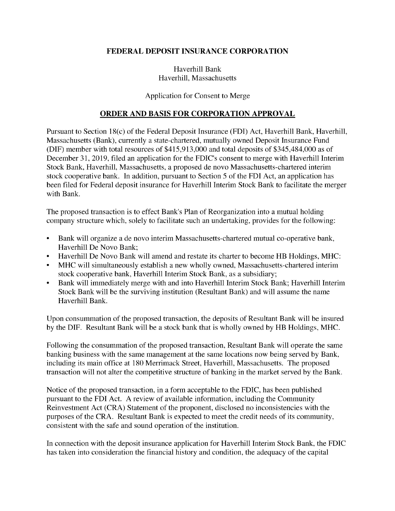## FEDERAL DEPOSIT INSURANCE CORPORATION

Haverhill Bank Haverhill, Massachusetts

## Application for Consent to Merge

## ORDER AND BASIS FOR CORPORATION APPROVAL

Pursuant to Section 18(c) of the Federal Deposit Insurance (FDI) Act, Haverhill Bank, Haverhill, Massachusetts (Bank), currently a state -chartered, mutually owned Deposit Insurance Fund (DIF) member with total resources of \$415,913,000 and total deposits of \$345,484,000 as of December 31, 2019, filed an application for the FDIC's consent to merge with Haverhill Interim Stock Bank, Haverhill, Massachusetts, a proposed de novo Massachusetts -chartered interim stock cooperative bank. In addition, pursuant to Section 5 of the FDI Act, an application has been filed for Federal deposit insurance for Haverhill Interim Stock Bank to facilitate the merger with Bank.

The proposed transaction is to effect Bank's Plan of Reorganization into a mutual holding company structure which, solely to facilitate such an undertaking, provides for the following:

- Bank will organize a de novo interim Massachusetts -chartered mutual co-operative bank, Haverhill De Novo Bank;
- Haverhill De Novo Bank will amend and restate its charter to become HB Holdings, MHC:
- MHC will simultaneously establish a new wholly owned, Massachusetts -chartered interim stock cooperative bank, Haverhill Interim Stock Bank, as a subsidiary;
- Bank will immediately merge with and into Haverhill Interim Stock Bank; Haverhill Interim Stock Bank will be the surviving institution (Resultant Bank) and will assume the name Haverhill Bank.

Upon consummation of the proposed transaction, the deposits of Resultant Bank will be insured by the DIF. Resultant Bank will be a stock bank that is wholly owned by HB Holdings, MHC.

Following the consummation of the proposed transaction, Resultant Bank will operate the same banking business with the same management at the same locations now being served by Bank, including its main office at 180 Merrimack Street, Haverhill, Massachusetts. The proposed transaction will not alter the competitive structure of banking in the market served by the Bank.

Notice of the proposed transaction, in a form acceptable to the FDIC, has been published pursuant to the FDI Act. A review of available information, including the Community Reinvestment Act (CRA) Statement of the proponent, disclosed no inconsistencies with the purposes of the CRA. Resultant Bank is expected to meet the credit needs of its community, consistent with the safe and sound operation of the institution.

In connection with the deposit insurance application for Haverhill Interim Stock Bank, the FDIC has taken into consideration the financial history and condition, the adequacy of the capital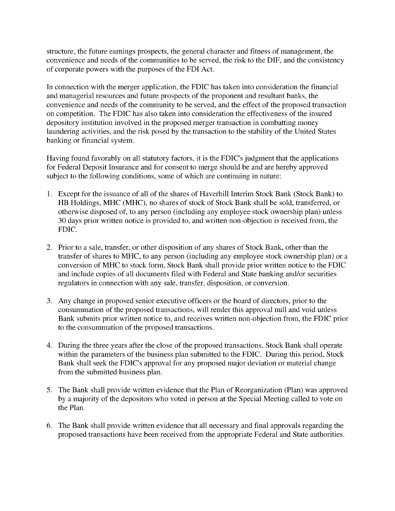structure, the future earnings prospects, the general character and fitness of management, the convenience and needs of the communities to be served, the risk to the DIF, and the consistency of corporate powers with the purposes of the FDI Act.

In connection with the merger application, the FDIC has taken into consideration the financial and managerial resources and future prospects of the proponent and resultant banks, the convenience and needs of the community to be served, and the effect of the proposed transaction on competition. The FDIC has also taken into consideration the effectiveness of the insured depository institution involved in the proposed merger transaction in combatting money laundering activities, and the risk posed by the transaction to the stability of the United States banking or financial system.

Having found favorably on all statutory factors, it is the FDIC's judgment that the applications for Federal Deposit Insurance and for consent to merge should be and are hereby approved subject to the following conditions, some of which are continuing in nature:

- 1. Except for the issuance of all of the shares of Haverhill Interim Stock Bank (Stock Bank) to HB Holdings, MHC (MHC), no shares of stock of Stock Bank shall be sold, transferred, or otherwise disposed of, to any person (including any employee stock ownership plan) unless 30 days prior written notice is provided to, and written non -objection is received from, the FDIC.
- 2. Prior to a sale, transfer, or other disposition of any shares of Stock Bank, other than the transfer of shares to MHC, to any person (including any employee stock ownership plan) or a conversion of MHC to stock form, Stock Bank shall provide prior written notice to the FDIC and include copies of all documents filed with Federal and State banking and/or securities regulators in connection with any sale, transfer, disposition, or conversion.
- 3. Any change in proposed senior executive officers or the board of directors, prior to the consummation of the proposed transactions, will render this approval null and void unless Bank submits prior written notice to, and receives written non -objection from, the FDIC prior to the consummation of the proposed transactions.
- 4. During the three years after the close of the proposed transactions, Stock Bank shall operate within the parameters of the business plan submitted to the FDIC. During this period, Stock Bank shall seek the FDIC's approval for any proposed major deviation or material change from the submitted business plan.
- 5. The Bank shall provide written evidence that the Plan of Reorganization (Plan) was approved by a majority of the depositors who voted in person at the Special Meeting called to vote on the Plan.
- 6. The Bank shall provide written evidence that all necessary and final approvals regarding the proposed transactions have been received from the appropriate Federal and State authorities.